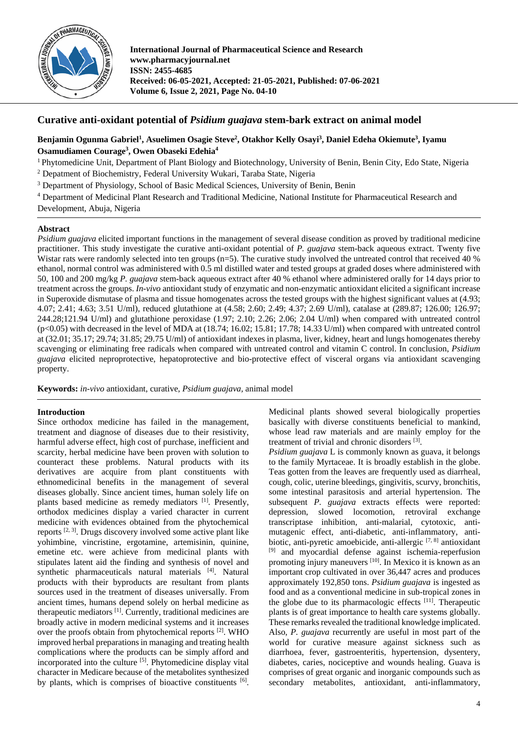

**International Journal of Pharmaceutical Science and Research www.pharmacyjournal.net ISSN: 2455-4685 Received: 06-05-2021, Accepted: 21-05-2021, Published: 07-06-2021 Volume 6, Issue 2, 2021, Page No. 04-10**

# **Curative anti-oxidant potential of** *Psidium guajava* **stem-bark extract on animal model**

# **Benjamin Ogunma Gabriel1 , Asuelimen Osagie Steve2 , Otakhor Kelly Osayi3 , Daniel Edeha Okiemute3 , Iyamu Osamudiamen Courage3 , Owen Obaseki Edehia4**

- <sup>1</sup> Phytomedicine Unit, Department of Plant Biology and Biotechnology, University of Benin, Benin City, Edo State, Nigeria
- <sup>2</sup> Depatment of Biochemistry, Federal University Wukari, Taraba State, Nigeria
- <sup>3</sup> Department of Physiology, School of Basic Medical Sciences, University of Benin, Benin
- <sup>4</sup> Department of Medicinal Plant Research and Traditional Medicine, National Institute for Pharmaceutical Research and

Development, Abuja, Nigeria

# **Abstract**

*Psidium guajava* elicited important functions in the management of several disease condition as proved by traditional medicine practitioner. This study investigate the curative anti-oxidant potential of *P. guajava* stem-back aqueous extract. Twenty five Wistar rats were randomly selected into ten groups  $(n=5)$ . The curative study involved the untreated control that received 40 % ethanol, normal control was administered with 0.5 ml distilled water and tested groups at graded doses where administered with 50, 100 and 200 mg/kg *P. guajava* stem-back aqueous extract after 40 % ethanol where administered orally for 14 days prior to treatment across the groups. *In-vivo* antioxidant study of enzymatic and non-enzymatic antioxidant elicited a significant increase in Superoxide dismutase of plasma and tissue homogenates across the tested groups with the highest significant values at (4.93; 4.07; 2.41; 4.63; 3.51 U/ml), reduced glutathione at (4.58; 2.60; 2.49; 4.37; 2.69 U/ml), catalase at (289.87; 126.00; 126.97; 244.28;121.94 U/ml) and glutathione peroxidase (1.97; 2.10; 2.26; 2.06; 2.04 U/ml) when compared with untreated control  $(p<0.05)$  with decreased in the level of MDA at (18.74; 16.02; 15.81; 17.78; 14.33 U/ml) when compared with untreated control at (32.01; 35.17; 29.74; 31.85; 29.75 U/ml) of antioxidant indexes in plasma, liver, kidney, heart and lungs homogenates thereby scavenging or eliminating free radicals when compared with untreated control and vitamin C control. In conclusion, *Psidium guajava* elicited neproprotective, hepatoprotective and bio-protective effect of visceral organs via antioxidant scavenging property.

**Keywords:** *in-vivo* antioxidant, curative, *Psidium guajava,* animal model

# **Introduction**

Since orthodox medicine has failed in the management, treatment and diagnose of diseases due to their resistivity, harmful adverse effect, high cost of purchase, inefficient and scarcity, herbal medicine have been proven with solution to counteract these problems. Natural products with its derivatives are acquire from plant constituents with ethnomedicinal benefits in the management of several diseases globally. Since ancient times, human solely life on plants based medicine as remedy mediators [1]. Presently, orthodox medicines display a varied character in current medicine with evidences obtained from the phytochemical reports<sup>[2, 3]</sup>. Drugs discovery involved some active plant like yohimbine, vincristine, ergotamine, artemisinin, quinine, emetine etc. were achieve from medicinal plants with stipulates latent aid the finding and synthesis of novel and synthetic pharmaceuticals natural materials <a>[4]</a>. Natural products with their byproducts are resultant from plants sources used in the treatment of diseases universally. From ancient times, humans depend solely on herbal medicine as therapeutic mediators<sup>[1]</sup>. Currently, traditional medicines are broadly active in modern medicinal systems and it increases over the proofs obtain from phytochemical reports <sup>[2]</sup>. WHO improved herbal preparations in managing and treating health complications where the products can be simply afford and incorporated into the culture <sup>[5]</sup>. Phytomedicine display vital character in Medicare because of the metabolites synthesized by plants, which is comprises of bioactive constituents [6].

Medicinal plants showed several biologically properties basically with diverse constituents beneficial to mankind, whose lead raw materials and are mainly employ for the treatment of trivial and chronic disorders [3].

*Psidium guajava* L is commonly known as guava, it belongs to the family Myrtaceae. It is broadly establish in the globe. Teas gotten from the leaves are frequently used as diarrheal, cough, colic, uterine bleedings, gingivitis, scurvy, bronchitis, some intestinal parasitosis and arterial hypertension. The subsequent *P. guajava* extracts effects were reported: depression, slowed locomotion, retroviral exchange transcriptase inhibition, anti-malarial, cytotoxic, antimutagenic effect, anti-diabetic, anti-inflammatory, antibiotic, anti-pyretic amoebicide, anti-allergic [7, 8] antioxidant [9] and myocardial defense against ischemia-reperfusion promoting injury maneuvers<sup>[10]</sup>. In Mexico it is known as an important crop cultivated in over 36,447 acres and produces approximately 192,850 tons. *Psidium guajava* is ingested as food and as a conventional medicine in sub-tropical zones in the globe due to its pharmacologic effects [11]. Therapeutic plants is of great importance to health care systems globally. These remarks revealed the traditional knowledge implicated. Also, *P. guajava* recurrently are useful in most part of the world for curative measure against sickness such as diarrhoea, fever, gastroenteritis, hypertension, dysentery, diabetes, caries, nociceptive and wounds healing. Guava is comprises of great organic and inorganic compounds such as secondary metabolites, antioxidant, anti-inflammatory,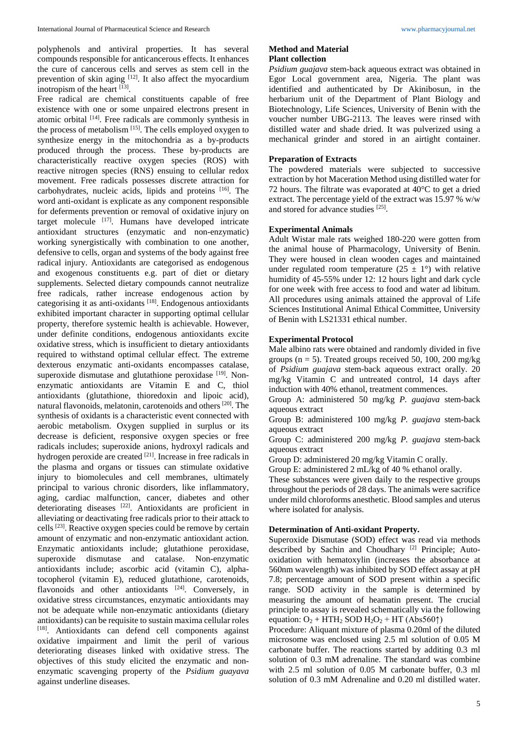polyphenols and antiviral properties. It has several compounds responsible for anticancerous effects. It enhances the cure of cancerous cells and serves as stem cell in the prevention of skin aging <sup>[12]</sup>. It also affect the myocardium inotropism of the heart  $^{[13]}$ .

Free radical are chemical constituents capable of free existence with one or some unpaired electrons present in atomic orbital <sup>[14]</sup>. Free radicals are commonly synthesis in the process of metabolism<sup>[15]</sup>. The cells employed oxygen to synthesize energy in the mitochondria as a by-products produced through the process. These by-products are characteristically reactive oxygen species (ROS) with reactive nitrogen species (RNS) ensuing to cellular redox movement. Free radicals possesses discrete attraction for carbohydrates, nucleic acids, lipids and proteins [16] . The word anti-oxidant is explicate as any component responsible for deferments prevention or removal of oxidative injury on target molecule [17]. Humans have developed intricate antioxidant structures (enzymatic and non-enzymatic) working synergistically with combination to one another, defensive to cells, organ and systems of the body against free radical injury. Antioxidants are categorised as endogenous and exogenous constituents e.g. part of diet or dietary supplements. Selected dietary compounds cannot neutralize free radicals, rather increase endogenous action by categorising it as anti-oxidants<sup>[18]</sup>. Endogenous antioxidants exhibited important character in supporting optimal cellular property, therefore systemic health is achievable. However, under definite conditions, endogenous antioxidants excite oxidative stress, which is insufficient to dietary antioxidants required to withstand optimal cellular effect. The extreme dexterous enzymatic anti-oxidants encompasses catalase, superoxide dismutase and glutathione peroxidase [19]. Nonenzymatic antioxidants are Vitamin E and C, thiol antioxidants (glutathione, thioredoxin and lipoic acid), natural flavonoids, melatonin, carotenoids and others <sup>[20]</sup>. The synthesis of oxidants is a characteristic event connected with aerobic metabolism. Oxygen supplied in surplus or its decrease is deficient, responsive oxygen species or free radicals includes; superoxide anions, hydroxyl radicals and hydrogen peroxide are created <sup>[21]</sup>. Increase in free radicals in the plasma and organs or tissues can stimulate oxidative injury to biomolecules and cell membranes, ultimately principal to various chronic disorders, like inflammatory, aging, cardiac malfunction, cancer, diabetes and other deteriorating diseases <a>[22]</a>. Antioxidants are proficient in alleviating or deactivating free radicals prior to their attack to cells <sup>[23]</sup>. Reactive oxygen species could be remove by certain amount of enzymatic and non-enzymatic antioxidant action. Enzymatic antioxidants include; glutathione peroxidase, superoxide dismutase and catalase. Non-enzymatic antioxidants include; ascorbic acid (vitamin C), alphatocopherol (vitamin E), reduced glutathione, carotenoids, flavonoids and other antioxidants <sup>[24]</sup>. Conversely, in oxidative stress circumstances, enzymatic antioxidants may not be adequate while non-enzymatic antioxidants (dietary antioxidants) can be requisite to sustain maxima cellular roles [18]. Antioxidants can defend cell components against oxidative impairment and limit the peril of various deteriorating diseases linked with oxidative stress. The objectives of this study elicited the enzymatic and nonenzymatic scavenging property of the *Psidium guayava* against underline diseases.

### **Method and Material Plant collection**

*Psidium guajava* stem-back aqueous extract was obtained in Egor Local government area, Nigeria. The plant was identified and authenticated by Dr Akinibosun, in the herbarium unit of the Department of Plant Biology and Biotechnology, Life Sciences, University of Benin with the voucher number UBG-2113. The leaves were rinsed with distilled water and shade dried. It was pulverized using a mechanical grinder and stored in an airtight container.

### **Preparation of Extracts**

The powdered materials were subjected to successive extraction by hot Maceration Method using distilled water for 72 hours. The filtrate was evaporated at 40°C to get a dried extract. The percentage yield of the extract was 15.97 % w/w and stored for advance studies [25] .

### **Experimental Animals**

Adult Wistar male rats weighed 180-220 were gotten from the animal house of Pharmacology, University of Benin. They were housed in clean wooden cages and maintained under regulated room temperature  $(25 \pm 1^{\circ})$  with relative humidity of 45-55% under 12: 12 hours light and dark cycle for one week with free access to food and water ad libitum. All procedures using animals attained the approval of Life Sciences Institutional Animal Ethical Committee, University of Benin with LS21331 ethical number.

# **Experimental Protocol**

Male albino rats were obtained and randomly divided in five groups ( $n = 5$ ). Treated groups received 50, 100, 200 mg/kg of *Psidium guajava* stem-back aqueous extract orally. 20 mg/kg Vitamin C and untreated control, 14 days after induction with 40% ethanol, treatment commences.

Group A: administered 50 mg/kg *P. guajava* stem-back aqueous extract

Group B: administered 100 mg/kg *P. guajava* stem-back aqueous extract

Group C: administered 200 mg/kg *P. guajava* stem-back aqueous extract

Group D: administered 20 mg/kg Vitamin C orally.

Group E: administered 2 mL/kg of 40 % ethanol orally.

These substances were given daily to the respective groups throughout the periods of 28 days. The animals were sacrifice under mild chloroforms anesthetic. Blood samples and uterus where isolated for analysis.

#### **Determination of Anti-oxidant Property.**

Superoxide Dismutase (SOD) effect was read via methods described by Sachin and Choudhary [2] Principle; Autooxidation with hematoxylin (increases the absorbance at 560nm wavelength) was inhibited by SOD effect assay at pH 7.8; percentage amount of SOD present within a specific range. SOD activity in the sample is determined by measuring the amount of heamatin present. The crucial principle to assay is revealed schematically via the following equation:  $O_2$  + HTH<sub>2</sub> SOD H<sub>2</sub>O<sub>2</sub> + HT (Abs560 $\uparrow$ )

Procedure: Aliquant mixture of plasma 0.20ml of the diluted microsome was enclosed using 2.5 ml solution of 0.05 M carbonate buffer. The reactions started by additing 0.3 ml solution of 0.3 mM adrenaline. The standard was combine with 2.5 ml solution of 0.05 M carbonate buffer, 0.3 ml solution of 0.3 mM Adrenaline and 0.20 ml distilled water.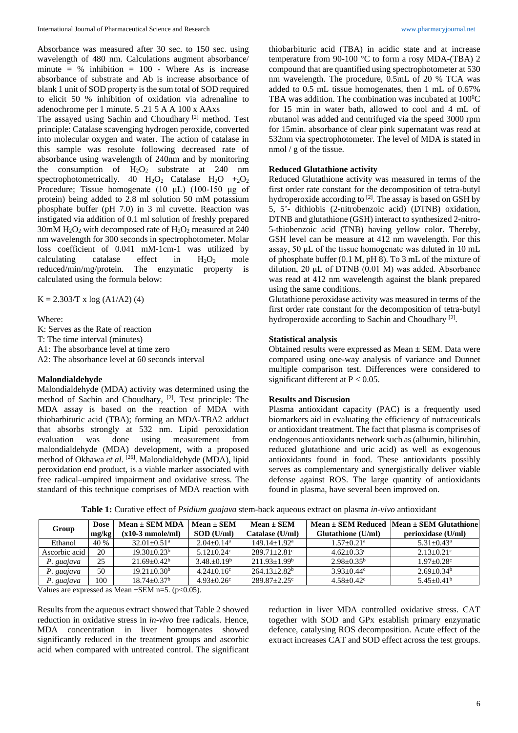Absorbance was measured after 30 sec. to 150 sec. using wavelength of 480 nm. Calculations augment absorbance/ minute =  $%$  inhibition = 100 - Where As is increase absorbance of substrate and Ab is increase absorbance of blank 1 unit of SOD property is the sum total of SOD required to elicit 50 % inhibition of oxidation via adrenaline to adenochrome per 1 minute. 5 .21 5 A A 100 x AAxs

The assayed using Sachin and Choudhary [2] method. Test principle: Catalase scavenging hydrogen peroxide, converted into molecular oxygen and water. The action of catalase in this sample was resolute following decreased rate of absorbance using wavelength of 240nm and by monitoring the consumption of  $H_2O_2$  substrate at 240 nm spectrophotometrically. 40  $H_2O_2$  Catalase  $H_2O$  +2 $O_2$ Procedure; Tissue homogenate (10 μL) (100-150 μg of protein) being added to 2.8 ml solution 50 mM potassium phosphate buffer (pH 7.0) in 3 ml cuvette. Reaction was instigated via addition of 0.1 ml solution of freshly prepared 30mM  $H_2O_2$  with decomposed rate of  $H_2O_2$  measured at 240 nm wavelength for 300 seconds in spectrophotometer. Molar loss coefficient of 0.041 mM-1cm-1 was utilized by calculating catalase effect in  $H_2O_2$  mole reduced/min/mg/protein. The enzymatic property is calculated using the formula below:

 $K = 2.303/T$  x log (A1/A2) (4)

Where:

K: Serves as the Rate of reaction T: The time interval (minutes) A1: The absorbance level at time zero A2: The absorbance level at 60 seconds interval

# **Malondialdehyde**

Malondialdehyde (MDA) activity was determined using the method of Sachin and Choudhary, [2] . Test principle: The MDA assay is based on the reaction of MDA with thiobarbituric acid (TBA); forming an MDA-TBA2 adduct that absorbs strongly at 532 nm. Lipid peroxidation evaluation was done using measurement from malondialdehyde (MDA) development, with a proposed method of Okhawa et al. <sup>[26]</sup>. Malondialdehyde (MDA), lipid peroxidation end product, is a viable marker associated with free radical–umpired impairment and oxidative stress. The standard of this technique comprises of MDA reaction with

thiobarbituric acid (TBA) in acidic state and at increase temperature from 90-100 °C to form a rosy MDA-(TBA) 2 compound that are quantified using spectrophotometer at 530 nm wavelength. The procedure, 0.5mL of 20 % TCA was added to 0.5 mL tissue homogenates, then 1 mL of 0.67% TBA was addition. The combination was incubated at  $100^{\circ}$ C for 15 min in water bath, allowed to cool and 4 mL of *n*butanol was added and centrifuged via the speed 3000 rpm for 15min. absorbance of clear pink supernatant was read at 532nm via spectrophotometer. The level of MDA is stated in nmol / g of the tissue.

# **Reduced Glutathione activity**

Reduced Glutathione activity was measured in terms of the first order rate constant for the decomposition of tetra-butyl hydroperoxide according to <sup>[2]</sup>. The assay is based on GSH by 5, 5'- dithiobis (2-nitrobenzoic acid) (DTNB) oxidation, DTNB and glutathione (GSH) interact to synthesized 2-nitro-5-thiobenzoic acid (TNB) having yellow color. Thereby, GSH level can be measure at 412 nm wavelength. For this assay, 50 μL of the tissue homogenate was diluted in 10 mL of phosphate buffer (0.1 M, pH 8). To 3 mL of the mixture of dilution, 20 μL of DTNB  $(0.01 \text{ M})$  was added. Absorbance was read at 412 nm wavelength against the blank prepared using the same conditions.

Glutathione peroxidase activity was measured in terms of the first order rate constant for the decomposition of tetra-butyl hydroperoxide according to Sachin and Choudhary<sup>[2]</sup>.

# **Statistical analysis**

Obtained results were expressed as Mean ± SEM. Data were compared using one-way analysis of variance and Dunnet multiple comparison test. Differences were considered to significant different at  $P < 0.05$ .

### **Results and Discusion**

Plasma antioxidant capacity (PAC) is a frequently used biomarkers aid in evaluating the efficiency of nutraceuticals or antioxidant treatment. The fact that plasma is comprises of endogenous antioxidants network such as (albumin, bilirubin, reduced glutathione and uric acid) as well as exogenous antioxidants found in food. These antioxidants possibly serves as complementary and synergistically deliver viable defense against ROS. The large quantity of antioxidants found in plasma, have several been improved on.

| Group         | <b>Dose</b> | $Mean \pm SEM MDA$     | $Mean \pm SEM$             | $Mean \pm SEM$               |                            | Mean $\pm$ SEM Reduced Mean $\pm$ SEM Glutathione |
|---------------|-------------|------------------------|----------------------------|------------------------------|----------------------------|---------------------------------------------------|
|               | mg/kg       | $(x10-3$ mmole/ml)     | $SOD$ (U/ml)               | Catalase (U/ml)              | Glutathione (U/ml)         | perioxidase (U/ml)                                |
| Ethanol       | 40 %        | $32.01 + 0.51^{\circ}$ | $2.04 + 0.14$ <sup>a</sup> | $149.14 + 1.92^a$            | $1.57+0.21^a$              | $5.31 + 0.43^a$                                   |
| Ascorbic acid | 20          | $19.30 + 0.23^b$       | $5.12 + 0.24$ <sup>c</sup> | $289.71 + 2.81$ <sup>c</sup> | $4.62 + 0.33$ <sup>c</sup> | $2.13 + 0.21$ °                                   |
| P. guajava    | 25          | $21.69 + 0.42^b$       | $3.48 + 0.19^b$            | $211.93 + 1.99$ <sup>b</sup> | $2.98 + 0.35^b$            | $1.97 + 0.28$ <sup>c</sup>                        |
| P. guajava    | 50          | $19.21 + 0.30^b$       | $4.24 + 0.16^c$            | $264.13 + 2.82^b$            | $3.93 + 0.44$ °            | $2.69 + 0.34^b$                                   |
| P. guajava    | 100         | $18.74 + 0.37b$        | $4.93 + 0.26^{\circ}$      | $289.87 + 2.25$              | $4.58 + 0.42^c$            | $5.45+0.41b$                                      |

**Table 1:** Curative effect of *Psidium guajava* stem-back aqueous extract on plasma *in-vivo* antioxidant

Values are expressed as Mean  $\pm$ SEM n=5. (p<0.05).

Results from the aqueous extract showed that Table 2 showed reduction in oxidative stress in *in-vivo* free radicals. Hence, MDA concentration in liver homogenates showed significantly reduced in the treatment groups and ascorbic acid when compared with untreated control. The significant

reduction in liver MDA controlled oxidative stress. CAT together with SOD and GPx establish primary enzymatic defence, catalysing ROS decomposition. Acute effect of the extract increases CAT and SOD effect across the test groups.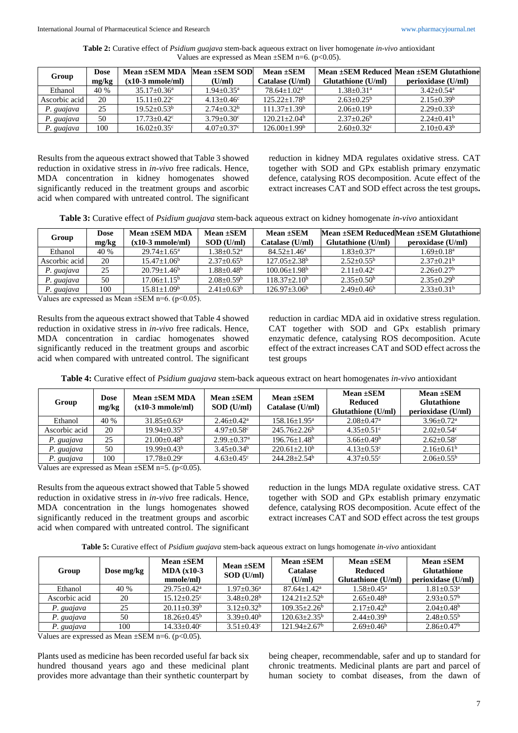**Table 2:** Curative effect of *Psidium guajava* stem-back aqueous extract on liver homogenate *in-vivo* antioxidant Values are expressed as Mean  $\pm$ SEM n=6. (p<0.05).

| Group         | <b>Dose</b> | Mean ±SEM MDA Mean ±SEM SOD |                          | Mean $\pm$ SEM      |                    | Mean ±SEM Reduced   Mean ±SEM Glutathione |
|---------------|-------------|-----------------------------|--------------------------|---------------------|--------------------|-------------------------------------------|
|               | mg/kg       | (x10-3 mmole/ml)            | (U/ml)                   | Catalase (U/ml)     | Glutathione (U/ml) | perioxidase (U/ml)                        |
| Ethanol       | 40 %        | $35.17 + 0.36^a$            | $1.94 + 0.35^{\text{a}}$ | $78.64 + 1.02^a$    | $1.38 + 0.31^a$    | $3.42 + 0.54$ <sup>a</sup>                |
| Ascorbic acid | 20          | $15.11 + 0.22$ °            | $4.13 + 0.46^c$          | $125.22+1.78b$      | $2.63 + 0.25^b$    | $2.15+0.39b$                              |
| P. guajava    | 25          | $19.52 + 0.53^b$            | $2.74 + 0.32^b$          | $111.37+1.39b$      | $2.06+0.19b$       | $2.29+0.33b$                              |
| P. guajava    | 50          | $17.73 + 0.42^{\circ}$      | $3.79 + 0.30^{\circ}$    | $120.21 + 2.04^b$   | $2.37+0.26^b$      | $2.24+0.41b$                              |
| P. guajava    | 100         | $16.02 + 0.35$ °            | $4.07 + 0.37$ °          | $126.00 \pm 1.99^b$ | $2.60 + 0.32$      | $2.10+0.43^b$                             |

Results from the aqueous extract showed that Table 3 showed reduction in oxidative stress in *in-vivo* free radicals. Hence, MDA concentration in kidney homogenates showed significantly reduced in the treatment groups and ascorbic acid when compared with untreated control. The significant

reduction in kidney MDA regulates oxidative stress. CAT together with SOD and GPx establish primary enzymatic defence, catalysing ROS decomposition. Acute effect of the extract increases CAT and SOD effect across the test groups**.**

**Table 3:** Curative effect of *Psidium guajava* stem-back aqueous extract on kidney homogenate *in-vivo* antioxidant

| Group         | Dose<br>mg/kg | Mean ±SEM MDA<br>$(x10-3 \text{ mmole/ml})$ | Mean +SEM<br>$SOD$ (U/ml)  | Mean $\pm$ SEM<br>Catalase (U/ml) | Glutathione (U/ml)         | Mean ±SEM ReducedMean ±SEM Glutathione<br>peroxidase (U/ml) |
|---------------|---------------|---------------------------------------------|----------------------------|-----------------------------------|----------------------------|-------------------------------------------------------------|
| Ethanol       | 40 %          | $29.74 + 1.65^a$                            | $1.38 + 0.52^a$            | $84.52 + 1.46^a$                  | $1.83 + 0.37$ <sup>a</sup> | $1.69 + 0.18a$                                              |
| Ascorbic acid | 20            | $15.47+1.06b$                               | $2.37+0.65^{\rm b}$        | $127.05 + 2.38$ <sup>b</sup>      | $2.52+0.55^{\circ}$        | $2.37+0.21b$                                                |
| P. guajava    | 25            | $20.79 + 1.46^b$                            | $1.88 + 0.48$ <sup>b</sup> | $100.06 + 1.98$ <sup>b</sup>      | $2.11+0.42^c$              | $2.26 + 0.27$ <sup>b</sup>                                  |
| P. guajava    | 50            | $17.06 + 1.15^b$                            | $2.08 + 0.59^b$            | $118.37+2.10b$                    | $2.35+0.50b$               | $2.35+0.29^b$                                               |
| P. guajava    | 100           | $15.81 + 1.09^b$                            | $2.41 + 0.63^b$            | $126.97 + 3.06^b$                 | $2.49 + 0.46^b$            | $2.33+0.31b$                                                |

Values are expressed as Mean  $\pm$ SEM n=6. (p<0.05).

Results from the aqueous extract showed that Table 4 showed reduction in oxidative stress in *in-vivo* free radicals. Hence, MDA concentration in cardiac homogenates showed significantly reduced in the treatment groups and ascorbic acid when compared with untreated control. The significant reduction in cardiac MDA aid in oxidative stress regulation. CAT together with SOD and GPx establish primary enzymatic defence, catalysing ROS decomposition. Acute effect of the extract increases CAT and SOD effect across the test groups

| Group         | <b>Dose</b><br>mg/kg | Mean ±SEM MDA<br>$(x10-3$ mmole/ml) | Mean $\pm$ SEM<br>SOD (U/ml) | Mean $\pm$ SEM<br>Catalase (U/ml) | Mean ±SEM<br><b>Reduced</b><br>Glutathione (U/ml) | Mean $\pm$ SEM<br><b>Glutathione</b><br>perioxidase (U/ml) |
|---------------|----------------------|-------------------------------------|------------------------------|-----------------------------------|---------------------------------------------------|------------------------------------------------------------|
| Ethanol       | 40 %                 | $31.85 + 0.63^a$                    | $2.46 + 0.42^a$              | $158.16 + 1.95^{\circ}$           | $2.08 + 0.47$ <sup>a</sup>                        | $3.96 + 0.72$ <sup>a</sup>                                 |
| Ascorbic acid | 20                   | $19.94 + 0.35^{\circ}$              | $4.97 + 0.58$ °              | $245.76 + 2.26^b$                 | $4.35 + 0.51$ °                                   | $2.02+0.54^{\circ}$                                        |
| P. guajava    | 25                   | $21.00+0.48^b$                      | $2.99.+0.37a$                | $196.76 + 1.48^b$                 | $3.66 \pm 0.49^b$                                 | $2.62 + 0.58$ °                                            |
| P. guajava    | 50                   | $19.99 + 0.43^b$                    | $3.45 + 0.34^b$              | $220.61 + 2.10^b$                 | $4.13 + 0.53$ <sup>c</sup>                        | $2.16 + 0.61^b$                                            |
| P. guajava    | 100                  | $17.78 \pm 0.29$ <sup>c</sup>       | $4.63 + 0.45$ <sup>c</sup>   | $244.28 + 2.54^b$                 | $4.37 + 0.55$ <sup>c</sup>                        | $2.06 \pm 0.55^b$                                          |

Values are expressed as Mean  $\pm$ SEM n=5. (p<0.05).

Results from the aqueous extract showed that Table 5 showed reduction in oxidative stress in *in-vivo* free radicals. Hence, MDA concentration in the lungs homogenates showed significantly reduced in the treatment groups and ascorbic acid when compared with untreated control. The significant reduction in the lungs MDA regulate oxidative stress. CAT together with SOD and GPx establish primary enzymatic defence, catalysing ROS decomposition. Acute effect of the extract increases CAT and SOD effect across the test groups

**Table 5:** Curative effect of *Psidium guajava* stem-back aqueous extract on lungs homogenate *in-vivo* antioxidant

| Group         | Dose mg/kg | Mean ±SEM<br>$MDA (x10-3)$<br>mmole/ml) | Mean ±SEM<br>SOD (U/ml) | Mean $\pm$ SEM<br><b>Catalase</b><br>(U/ml) | Mean $\pm$ SEM<br><b>Reduced</b><br><b>Glutathione</b> (U/ml) | Mean $\pm$ SEM<br><b>Glutathione</b><br>perioxidase (U/ml) |
|---------------|------------|-----------------------------------------|-------------------------|---------------------------------------------|---------------------------------------------------------------|------------------------------------------------------------|
| Ethanol       | 40 %       | $29.75 + 0.42^a$                        | $1.97 + 0.36^a$         | $87.64 + 1.42^a$                            | $1.58 + 0.45^{\circ}$                                         | $1.81 + 0.53^a$                                            |
| Ascorbic acid | 20         | $15.12 + 0.25$ °                        | $3.48 + 0.28^b$         | $124.21 + 2.52^b$                           | $2.65 + 0.48^b$                                               | $2.93 + 0.57^b$                                            |
| P. guajava    | 25         | $20.11+0.39b$                           | $3.12 + 0.32^b$         | $109.35 + 2.26^b$                           | $2.17+0.42^b$                                                 | $2.04 + 0.48$ <sup>b</sup>                                 |
| P. guajava    | 50         | $18.26 + 0.45^b$                        | $3.39+0.40b$            | $120.63 + 2.35^{\circ}$                     | $2.44 + 0.39^b$                                               | $2.48 + 0.55^{\rm b}$                                      |
| P. guajava    | 100        | $14.33 + 0.40^{\circ}$                  | $3.51 + 0.43^c$         | $121.94 + 2.67^b$                           | $2.69 \pm 0.46^b$                                             | $2.86 \pm 0.47$ <sup>b</sup>                               |

Values are expressed as Mean  $\pm$ SEM n=6. (p<0.05).

Plants used as medicine has been recorded useful far back six hundred thousand years ago and these medicinal plant provides more advantage than their synthetic counterpart by

being cheaper, recommendable, safer and up to standard for chronic treatments. Medicinal plants are part and parcel of human society to combat diseases, from the dawn of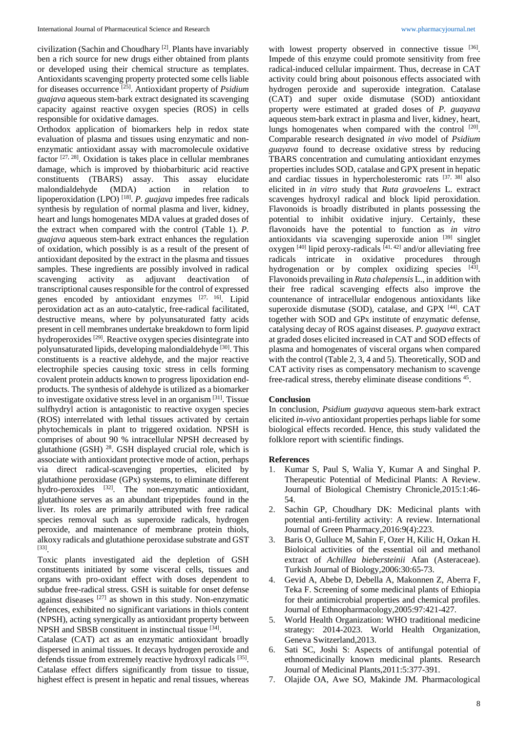civilization (Sachin and Choudhary [2] . Plants have invariably ben a rich source for new drugs either obtained from plants or developed using their chemical structure as templates. Antioxidants scavenging property protected some cells liable for diseases occurrence [25] . Antioxidant property of *Psidium guajava* aqueous stem-bark extract designated its scavenging capacity against reactive oxygen species (ROS) in cells responsible for oxidative damages.

Orthodox application of biomarkers help in redox state evaluation of plasma and tissues using enzymatic and nonenzymatic antioxidant assay with macromolecule oxidative factor  $[27, 28]$ . Oxidation is takes place in cellular membranes damage, which is improved by thiobarbituric acid reactive constituents (TBARS) assay. This assay elucidate malondialdehyde (MDA) action in relation to lipoperoxidation (LPO) [18] . *P. guajava* impedes free radicals synthesis by regulation of normal plasma and liver, kidney, heart and lungs homogenates MDA values at graded doses of the extract when compared with the control (Table 1). *P. guajava* aqueous stem-bark extract enhances the regulation of oxidation, which possibly is as a result of the present of antioxidant deposited by the extract in the plasma and tissues samples. These ingredients are possibly involved in radical scavenging activity as adjuvant deactivation of transcriptional causes responsible for the control of expressed genes encoded by antioxidant enzymes [27, 16]. Lipid peroxidation act as an auto-catalytic, free-radical facilitated, destructive means, where by polyunsaturated fatty acids present in cell membranes undertake breakdown to form lipid hydroperoxides<sup>[29]</sup>. Reactive oxygen species disintegrate into polyunsaturated lipids, developing malondialdehyde<sup>[30]</sup>. This constituents is a reactive aldehyde, and the major reactive electrophile species causing toxic stress in cells forming covalent protein adducts known to progress lipoxidation endproducts. The synthesis of aldehyde is utilized as a biomarker to investigate oxidative stress level in an organism<sup>[31]</sup>. Tissue sulfhydryl action is antagonistic to reactive oxygen species (ROS) interrelated with lethal tissues activated by certain phytochemicals in plant to triggered oxidation. NPSH is comprises of about 90 % intracellular NPSH decreased by glutathione (GSH) 28. GSH displayed crucial role, which is associate with antioxidant protective mode of action, perhaps via direct radical-scavenging properties, elicited by glutathione peroxidase (GPx) systems, to eliminate different hydro-peroxides <sup>[32]</sup>. The non-enzymatic antioxidant, glutathione serves as an abundant tripeptides found in the liver. Its roles are primarily attributed with free radical species removal such as superoxide radicals, hydrogen peroxide, and maintenance of membrane protein thiols, alkoxy radicals and glutathione peroxidase substrate and GST [33] .

Toxic plants investigated aid the depletion of GSH constituents initiated by some visceral cells, tissues and organs with pro-oxidant effect with doses dependent to subdue free-radical stress. GSH is suitable for onset defense against diseases [27] as shown in this study. Non-enzymatic defences, exhibited no significant variations in thiols content (NPSH), acting synergically as antioxidant property between NPSH and SBSB constituent in instinctual tissue [34].

Catalase (CAT) act as an enzymatic antioxidant broadly dispersed in animal tissues. It decays hydrogen peroxide and defends tissue from extremely reactive hydroxyl radicals [35]. Catalase effect differs significantly from tissue to tissue, highest effect is present in hepatic and renal tissues, whereas

with lowest property observed in connective tissue [36]. Impede of this enzyme could promote sensitivity from free radical-induced cellular impairment. Thus, decrease in CAT activity could bring about poisonous effects associated with hydrogen peroxide and superoxide integration. Catalase (CAT) and super oxide dismutase (SOD) antioxidant property were estimated at graded doses of *P. guayava* aqueous stem-bark extract in plasma and liver, kidney, heart, lungs homogenates when compared with the control [20]. Comparable research designated *in vivo* model of *Psidium guayava* found to decrease oxidative stress by reducing TBARS concentration and cumulating antioxidant enzymes properties includes SOD, catalase and GPX present in hepatic and cardiac tissues in hypercholesteromic rats [37, 38] also elicited in *in vitro* study that *Ruta gravoelens* L. extract scavenges hydroxyl radical and block lipid peroxidation. Flavonoids is broadly distributed in plants possessing the potential to inhibit oxidative injury. Certainly, these flavonoids have the potential to function as *in vitro*  antioxidants via scavenging superoxide anion [39] singlet oxygen  $[40]$  lipid peroxy-radicals  $[41, 42]$  and/or alleviating free radicals intricate in oxidative procedures through hydrogenation or by complex oxidizing species [43]. Flavonoids prevailing in *Ruta chalepensis* L., in addition with their free radical scavenging effects also improve the countenance of intracellular endogenous antioxidants like superoxide dismutase (SOD), catalase, and GPX [44]. CAT together with SOD and GPx institute of enzymatic defense, catalysing decay of ROS against diseases. *P. guayava* extract at graded doses elicited increased in CAT and SOD effects of plasma and homogenates of visceral organs when compared with the control (Table 2, 3, 4 and 5). Theoretically, SOD and CAT activity rises as compensatory mechanism to scavenge free-radical stress, thereby eliminate disease conditions 45.

### **Conclusion**

In conclusion, *Psidium guayava* aqueous stem-bark extract elicited *in-vivo* antioxidant properties perhaps liable for some biological effects recorded. Hence, this study validated the folklore report with scientific findings.

#### **References**

- 1. Kumar S, Paul S, Walia Y, Kumar A and Singhal P. Therapeutic Potential of Medicinal Plants: A Review. Journal of Biological Chemistry Chronicle,2015:1:46- 54.
- 2. Sachin GP, Choudhary DK: Medicinal plants with potential anti-fertility activity: A review. International Journal of Green Pharmacy,2016:9(4):223.
- 3. Baris O, Gulluce M, Sahin F, Ozer H, Kilic H, Ozkan H. Bioloical activities of the essential oil and methanol extract of *Achillea biebersteinii* Afan (Asteraceae). Turkish Journal of Biology,2006:30:65-73.
- 4. Gevid A, Abebe D, Debella A, Makonnen Z, Aberra F, Teka F. Screening of some medicinal plants of Ethiopia for their antimicrobial properties and chemical profiles. Journal of Ethnopharmacology,2005:97:421-427.
- 5. World Health Organization: WHO traditional medicine strategy: 2014-2023. World Health Organization, Geneva Switzerland,2013.
- 6. Sati SC, Joshi S: Aspects of antifungal potential of ethnomedicinally known medicinal plants. Research Journal of Medicinal Plants,2011:5:377-391.
- 7. Olajide OA, Awe SO, Makinde JM. Pharmacological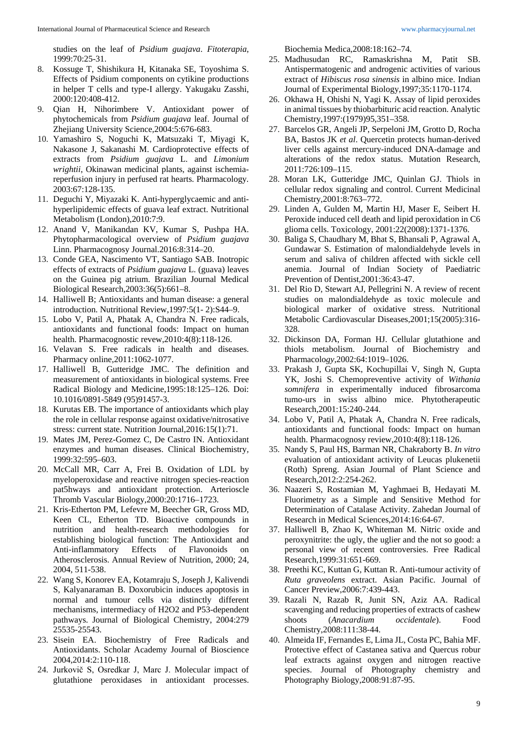studies on the leaf of *Psidium guajava*. *Fitoterapia*, 1999:70:25-31.

- 8. Kossuge T, Shishikura H, Kitanaka SE, Toyoshima S. Effects of Psidium components on cytikine productions in helper T cells and type-I allergy. Yakugaku Zasshi, 2000:120:408-412.
- 9. Qian H, Nihorimbere V. Antioxidant power of phytochemicals from *Psidium guajava* leaf. Journal of Zhejiang University Science*,*2004:5:676-683.
- 10. Yamashiro S, Noguchi K, Matsuzaki T, Miyagi K, Nakasone J, Sakanashi M. Cardioprotective effects of extracts from *Psidium guajava* L. and *Limonium wrightii*, Okinawan medicinal plants, against ischemiareperfusion injury in perfused rat hearts. Pharmacology*.*  2003:67:128-135.
- 11. Deguchi Y, Miyazaki K. Anti-hyperglycaemic and antihyperlipidemic effects of guava leaf extract. Nutritional Metabolism (London),2010:7:9.
- 12. Anand V, Manikandan KV, Kumar S, Pushpa HA. Phytopharmacological overview of *Psidium guajava*  Linn. Pharmacognosy Journal.2016:8:314–20.
- 13. Conde GEA, Nascimento VT, Santiago SAB. Inotropic effects of extracts of *Psidium guajava* L. (guava) leaves on the Guinea pig atrium. Brazilian Journal Medical Biological Research,2003:36(5):661–8.
- 14. Halliwell B; Antioxidants and human disease: a general introduction. Nutritional Review,1997:5(1- 2):S44–9.
- 15. Lobo V, Patil A, Phatak A, Chandra N. Free radicals, antioxidants and functional foods: Impact on human health. Pharmacognostic revew,2010:4(8):118-126.
- 16. Velavan S. Free radicals in health and diseases. Pharmacy online,2011:1062-1077.
- 17. Halliwell B, Gutteridge JMC. The definition and measurement of antioxidants in biological systems. Free Radical Biology and Medicine,1995:18:125–126. Doi: 10.1016/0891-5849 (95)91457-3.
- 18. Kurutas EB. The importance of antioxidants which play the role in cellular response against oxidative/nitrosative stress: current state. Nutrition Journal, 2016:15(1):71.
- 19. Mates JM, Perez-Gomez C, De Castro IN. Antioxidant enzymes and human diseases. Clinical Biochemistry*,*  1999:32:595–603.
- 20. McCall MR, Carr A, Frei B. Oxidation of LDL by myeloperoxidase and reactive nitrogen species-reaction pat5hways and antioxidant protection. Arterioscle Thromb Vascular Biology,2000:20:1716–1723.
- 21. Kris-Etherton PM, Lefevre M, Beecher GR, Gross MD, Keen CL, Etherton TD. Bioactive compounds in nutrition and health-research methodologies for establishing biological function: The Antioxidant and Anti-inflammatory Effects of Flavonoids on Atherosclerosis. Annual Review of Nutrition, 2000; 24, 2004, 511-538.
- 22. Wang S, Konorev EA, Kotamraju S, Joseph J, Kalivendi S, Kalyanaraman B. Doxorubicin induces apoptosis in normal and tumour cells via distinctly different mechanisms, intermediacy of H2O2 and P53-dependent pathways. Journal of Biological Chemistry, 2004:279 25535-25543.
- 23. Sisein EA. Biochemistry of Free Radicals and Antioxidants. Scholar Academy Journal of Bioscience 2004,2014:2:110-118.
- 24. Jurkovič S, Osredkar J, Marc J. Molecular impact of glutathione peroxidases in antioxidant processes.

Biochemia Medica,2008:18:162–74.

- 25. Madhusudan RC, Ramaskrishna M, Patit SB. Antispermatogenic and androgenic activities of various extract of *Hibiscus rosa sinensis* in albino mice. Indian Journal of Experimental Biology,1997;35:1170-1174.
- 26. Okhawa H, Ohishi N, Yagi K. Assay of lipid peroxides in animal tissues by thiobarbituric acid reaction. Analytic Chemistry,1997:(1979)95,351–358.
- 27. Barcelos GR, Angeli JP, Serpeloni JM, Grotto D, Rocha BA, Bastos JK *et al*. Quercetin protects human-derived liver cells against mercury-induced DNA-damage and alterations of the redox status. Mutation Research, 2011:726:109–115.
- 28. Moran LK, Gutteridge JMC, Quinlan GJ. Thiols in cellular redox signaling and control. Current Medicinal Chemistry,2001:8:763–772.
- 29. Linden A, Gulden M, Martin HJ, Maser E, Seibert H. Peroxide induced cell death and lipid peroxidation in C6 glioma cells. Toxicology, 2001:22(2008):1371-1376.
- 30. Baliga S, Chaudhary M, Bhat S, Bhansali P, Agrawal A, Gundawar S. Estimation of malondialdehyde levels in serum and saliva of children affected with sickle cell anemia. Journal of Indian Society of Paediatric Prevention of Dentist,2001:36:43-47.
- 31. Del Rio D, Stewart AJ, Pellegrini N. A review of recent studies on malondialdehyde as toxic molecule and biological marker of oxidative stress. Nutritional Metabolic Cardiovascular Diseases,2001;15(2005):316- 328.
- 32. Dickinson DA, Forman HJ. Cellular glutathione and thiols metabolism. Journal of Biochemistry and Pharmacolo*gy*,2002:64:1019–1026.
- 33. Prakash J, Gupta SK, Kochupillai V, Singh N, Gupta YK, Joshi S. Chemopreventive activity of *Withania somnifera* in experimentally induced fibrosarcoma tumo-urs in swiss albino mice. Phytotherapeutic Research,2001:15:240-244.
- 34. Lobo V, Patil A, Phatak A, Chandra N. Free radicals, antioxidants and functional foods: Impact on human health. Pharmacognosy review,2010:4(8):118-126.
- 35. Nandy S, Paul HS, Barman NR, Chakraborty B. *In vitro* evaluation of antioxidant activity of Leucas plukenetii (Roth) Spreng. Asian Journal of Plant Science and Research*,*2012:2:254-262.
- 36. Naazeri S, Rostamian M, Yaghmaei B, Hedayati M. Fluorimetry as a Simple and Sensitive Method for Determination of Catalase Activity. Zahedan Journal of Research in Medical Sciences,2014:16:64-67.
- 37. Halliwell B, Zhao K, Whiteman M. Nitric oxide and peroxynitrite: the ugly, the uglier and the not so good: a personal view of recent controversies. Free Radical Research*,*1999:31:651-669.
- 38. Preethi KC, Kuttan G, Kuttan R. Anti-tumour activity of *Ruta graveolens* extract. Asian Pacific. Journal of Cancer Preview,2006:7:439-443.
- 39. Razali N, Razab R, Junit SN, Aziz AA. Radical scavenging and reducing properties of extracts of cashew shoots (*Anacardium occidentale*). Food Chemistry,2008:111:38-44.
- 40. Almeida IF, Fernandes E, Lima JL, Costa PC, Bahia MF. Protective effect of Castanea sativa and Quercus robur leaf extracts against oxygen and nitrogen reactive species. Journal of Photography chemistry and Photography Biology,2008:91:87-95.